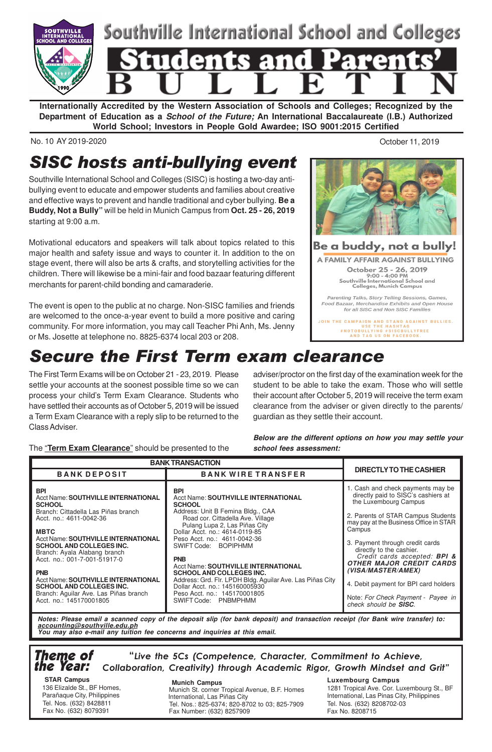

**Internationally Accredited by the Western Association of Schools and Colleges; Recognized by the Department of Education as a School of the Future; An International Baccalaureate (I.B.) Authorized World School; Investors in People Gold Awardee; ISO 9001:2015 Certified**

No. 10 AY 2019-2020 October 11, 2019

# SISC hosts anti-bullying event

Southville International School and Colleges (SISC) is hosting a two-day antibullying event to educate and empower students and families about creative and effective ways to prevent and handle traditional and cyber bullying. **Be a Buddy, Not a Bully"** will be held in Munich Campus from **Oct. 25 - 26, 2019** starting at 9:00 a.m.

Motivational educators and speakers will talk about topics related to this major health and safety issue and ways to counter it. In addition to the on stage event, there will also be arts & crafts, and storytelling activities for the children. There will likewise be a mini-fair and food bazaar featuring different merchants for parent-child bonding and camaraderie.

The event is open to the public at no charge. Non-SISC families and friends are welcomed to the once-a-year event to build a more positive and caring community. For more information, you may call Teacher Phi Anh, Ms. Jenny or Ms. Josette at telephone no. 8825-6374 local 203 or 208.



Parenting Talks, Story Telling Sessions, Games,<br>Food Bazaar, Merchandise Exhibits and Open House for all SISC and Non SISC Families

JOIN THE CAMPAIGN AND STAND AGAINST BULLIES.<br>USE THE HASHTAG<br>HNOTOBULLYING #SISCBULLYFREE<br>AND TAG US ON FACEBOOK.

# Secure the First Term exam clearance

The First Term Exams will be on October 21 - 23, 2019. Please settle your accounts at the soonest possible time so we can process your child's Term Exam Clearance. Students who have settled their accounts as of October 5, 2019 will be issued a Term Exam Clearance with a reply slip to be returned to the Class Adviser.

adviser/proctor on the first day of the examination week for the student to be able to take the exam. Those who will settle their account after October 5, 2019 will receive the term exam clearance from the adviser or given directly to the parents/ guardian as they settle their account.

## The "**Term Exam Clearance**" should be presented to the

**Below are the different options on how you may settle your school fees assessment:**

| <b>BANK TRANSACTION</b>                                                                                                                                                                                                                                                                                                                                                                                                                                                        |                                                                                                                                                                                                                                                                                                                                                                                                                                                                                                                               |                                                                                                                                                                                                                                                                                                                                                                                                                                                                                |
|--------------------------------------------------------------------------------------------------------------------------------------------------------------------------------------------------------------------------------------------------------------------------------------------------------------------------------------------------------------------------------------------------------------------------------------------------------------------------------|-------------------------------------------------------------------------------------------------------------------------------------------------------------------------------------------------------------------------------------------------------------------------------------------------------------------------------------------------------------------------------------------------------------------------------------------------------------------------------------------------------------------------------|--------------------------------------------------------------------------------------------------------------------------------------------------------------------------------------------------------------------------------------------------------------------------------------------------------------------------------------------------------------------------------------------------------------------------------------------------------------------------------|
| <b>BANK DEPOSIT</b>                                                                                                                                                                                                                                                                                                                                                                                                                                                            | <b>BANK WIRE TRANSFER</b>                                                                                                                                                                                                                                                                                                                                                                                                                                                                                                     | DIRECTLY TO THE CASHIER                                                                                                                                                                                                                                                                                                                                                                                                                                                        |
| <b>BPI</b><br><b>Acct Name: SOUTHVILLE INTERNATIONAL</b><br><b>SCHOOL</b><br>Branch: Cittadella Las Piñas branch<br>Acct. no.: 4611-0042-36<br><b>MBTC</b><br><b>Acct Name: SOUTHVILLE INTERNATIONAL</b><br><b>SCHOOL AND COLLEGES INC.</b><br>Branch: Ayala Alabang branch<br>Acct. no.: 001-7-001-51917-0<br><b>PNB</b><br><b>Acct Name: SOUTHVILLE INTERNATIONAL</b><br><b>SCHOOL AND COLLEGES INC.</b><br>Branch: Aguilar Ave. Las Piñas branch<br>Acct. no.: 145170001805 | <b>BPI</b><br><b>Acct Name: SOUTHVILLE INTERNATIONAL</b><br><b>SCHOOL</b><br>Address: Unit B Femina Bldg., CAA<br>Road cor. Cittadella Ave. Village<br>Pulang Lupa 2, Las Piñas City<br>Dollar Acct. no.: 4614-0119-85<br>Peso Acct. no.: 4611-0042-36<br>SWIFT Code: BOPIPHMM<br><b>PNB</b><br>Acct Name: SOUTHVILLE INTERNATIONAL<br><b>SCHOOL AND COLLEGES INC.</b><br>Address: Grd. Flr. LPDH Bldg. Aguilar Ave. Las Piñas City<br>Dollar Acct. no.: 145160005930<br>Peso Acct. no.: 145170001805<br>SWIFT Code: PNBMPHMM | 1. Cash and check payments may be<br>directly paid to SISC's cashiers at<br>the Luxembourg Campus<br>2. Parents of STAR Campus Students<br>may pay at the Business Office in STAR<br>Campus<br>3. Payment through credit cards<br>directly to the cashier.<br>Credit cards accepted: <b>BPI &amp;</b><br><b>OTHER MAJOR CREDIT CARDS</b><br>(VISA/MASTER/AMEX)<br>4. Debit payment for BPI card holders<br>Note: For Check Payment - Payee in<br>check should be <b>SISC</b> . |

**Notes: Please email a scanned copy of the deposit slip (for bank deposit) and transaction receipt (for Bank wire transfer) to: accounting@southville.edu.ph You may also e-mail any tuition fee concerns and inquiries at this email.**

### Theme of the Year: "Live the 5Cs (Competence, Character, Commitment to Achieve, Collaboration, Creativity) through Academic Rigor, Growth Mindset and Grit"

 **STAR Campus** 136 Elizalde St., BF Homes, Parañaque City, Philippines Tel. Nos. (632) 8428811 Fax No. (632) 8079391

 **Munich Campus** Munich St. corner Tropical Avenue, B.F. Homes International, Las Piñas City Tel. Nos.: 825-6374; 820-8702 to 03; 825-7909 Fax Number: (632) 8257909

### **Luxembourg Campus**

1281 Tropical Ave. Cor. Luxembourg St., BF International, Las Pinas City, Philippines Tel. Nos. (632) 8208702-03 Fax No. 8208715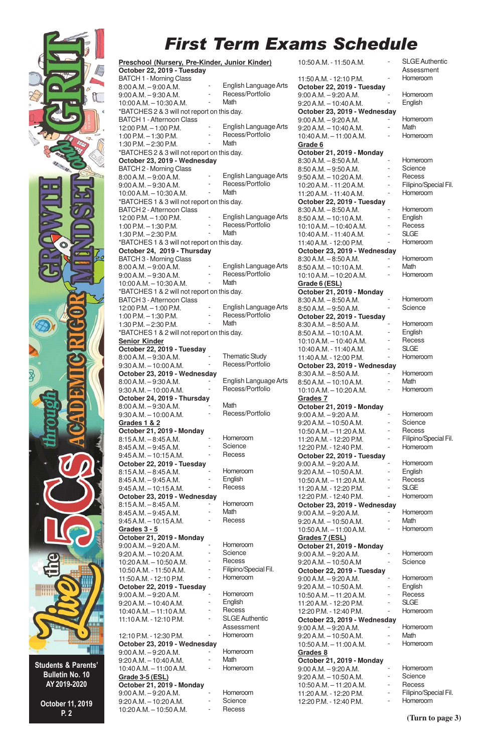## First Term Exams Schedule

Recess/Portfolio

**Math** 



Students & Parents' Bulletin No. 10 AY 2019-2020

> October 11, 2019 P. 2

BATCH 1 - Afternoon Class 12:00 P.M. – 1:00 P.M. 1:00 P.M. – 1:30 P.M. 1:30 P.M. – 2:30 P.M. \*BATCHES 2 & 3 will not report on this day. **October 23, 2019 - Wednesday** BATCH 2 - Morning Class 8:00 A.M. – 9:00 A.M. 9:00 A.M. – 9:30 A.M. 10:00 A.M. – 10:30 A.M. \*BATCHES 1 & 3 will not report on this day. BATCH 2 - Afternoon Class 12:00 P.M. – 1:00 P.M. 1:00 P.M. – 1:30 P.M. 1:30 P.M. – 2:30 P.M. \*BATCHES 1 & 3 will not report on this day. **October 24, 2019 - Thursday** BATCH 3 - Morning Class 8:00 A.M. – 9:00 A.M. 9:00 A.M. – 9:30 A.M. 10:00 A.M. – 10:30 A.M. \*BATCHES 1 & 2 will not report on this day. BATCH 3 - Afternoon Class 12:00 P.M. – 1:00 P.M. 1:00 P.M. – 1:30 P.M. 1:30 P.M. – 2:30 P.M. \*BATCHES 1 & 2 will not report on this day. **Senior Kinder October 22, 2019 - Tuesday** 8:00 A.M. – 9:30 A.M. 9:30 A.M. – 10:00 A.M. **October 23, 2019 - Wednesday** 8:00 A.M. – 9:30 A.M. 9:30 A.M. – 10:00 A.M. **October 24, 2019 - Thursday** 8:00 A.M. – 9:30 A.M. 9:30 A.M. – 10:00 A.M. **Grades 1 & 2 October 21, 2019 - Monday** 8:15 A.M. – 8:45 A.M. 8:45 A.M. – 9:45 A.M. 9:45 A.M. – 10:15 A.M. **October 22, 2019 - Tuesday** 8:15 A.M. – 8:45 A.M. 8:45 A.M. – 9:45 A.M. 9:45 A.M. – 10:15 A.M. **October 23, 2019 - Wednesday**  $8:15 A.M. - 8:45 A.M.$ 8:45 A.M. – 9:45 A.M. 9:45 A.M. – 10:15 A.M. **Grades 3 - 5 October 21, 2019 - Monday** 9:00 A.M. – 9:20 A.M. 9:20 A.M. – 10:20 A.M. 10:20 A.M. – 10:50 A.M. 10:50 A.M. - 11:50 A.M. 11:50 A.M. - 12:10 P.M. **October 22, 2019 - Tuesday** 9:00 A.M. – 9:20 A.M. 9:20 A.M. – 10:40 A.M. 10:40 A.M. – 11:10 A.M. 11:10 A.M. - 12:10 P.M. 12:10 P.M. - 12:30 P.M. **October 23, 2019 - Wednesday** 9:00 A.M. – 9:20 A.M. 9:20 A.M. – 10:40 A.M. 10:40 A.M. – 11:00 A.M. **Grade 3-5 (ESL) October 21, 2019 - Monday** 9:00 A.M. – 9:20 A.M. 9:20 A.M. – 10:20 A.M. English Language Arts Recess/Portfolio Math - English Language Arts - Recess/Portfolio **Math** English Language Arts Recess/Portfolio **Math** English Language Arts Recess/Portfolio **Math** - English Language Arts Recess/Portfolio **Math Thematic Study** Recess/Portfolio English Language Arts Recess/Portfolio **Math** Recess/Portfolio - Homeroom **Science Recess** - Homeroom **English Recess Homeroom** Math **Recess** - Homeroom - Science **Recess** Filipino/Special Fil. - Homeroom - Homeroom **English Recess** SLGE Authentic **Assessment** - Homeroom **Homeroom Math** - Homeroom - Homeroom - Science

10:20 A.M. – 10:50 A.M.

**Recess** 

**Preschool (Nursery, Pre-Kinder, Junior Kinder)**

\*BATCHES 2 & 3 will not report on this day.

**October 22, 2019 - Tuesday** BATCH 1 - Morning Class 8:00 A.M. – 9:00 A.M. 9:00 A.M. – 9:30 A.M. 10:00 A.M. – 10:30 A.M.

- English Language Arts 10:50 A.M. - 11:50 A.M. 11:50 A.M. - 12:10 P.M. **October 22, 2019 - Tuesday** 9:00 A.M. – 9:20 A.M. 9:20 A.M. – 10:40 A.M. **October 23, 2019 - Wednesday** 9:00 A.M. – 9:20 A.M. 9:20 A.M. – 10:40 A.M. 10:40 A.M. – 11:00 A.M. **Grade 6 October 21, 2019 - Monday** 8:30 A.M. – 8:50 A.M. 8:50 A.M. – 9:50 A.M. 9:50 A.M. – 10:20 A.M. 10:20 A.M. - 11:20 A.M. 11:20 A.M. - 11:40 A.M. **October 22, 2019 - Tuesday** 8:30 A.M. – 8:50 A.M. 8:50 A.M. – 10:10 A.M. 10:10 A.M. – 10:40 A.M. 10:40 A.M. - 11:40 A.M. 11:40 A.M. - 12:00 P.M. **October 23, 2019 - Wednesday** 8:30 A.M. – 8:50 A.M. 8:50 A.M. – 10:10 A.M. 10:10 A.M. – 10:20 A.M. **Grade 6 (ESL) October 21, 2019 - Monday** 8:30 A.M. – 8:50 A.M. 8:50 A.M. – 9:50 A.M. **October 22, 2019 - Tuesday** 8:30 A.M. – 8:50 A.M. 8:50 A.M. – 10:10 A.M. 10:10 A.M. – 10:40 A.M. 10:40 A.M. - 11:40 A.M. 11:40 A.M. - 12:00 P.M. **October 23, 2019 - Wednesday** 8:30 A.M. – 8:50 A.M. 8:50 A.M. – 10:10 A.M. 10:10 A.M. – 10:20 A.M. **Grades 7 October 21, 2019 - Monday** 9:00 A.M. – 9:20 A.M. 9:20 A.M. – 10:50 A.M. 10:50 A.M. – 11:20 A.M. 11:20 A.M. - 12:20 P.M. 12:20 P.M. - 12:40 P.M. **October 22, 2019 - Tuesday** 9:00 A.M. – 9:20 A.M. 9:20 A.M. – 10:50 A.M.  $10:50 A M - 11:20 A M$ 11:20 A.M. - 12:20 P.M. 12:20 P.M. - 12:40 P.M. **October 23, 2019 - Wednesday** 9:00 A.M. – 9:20 A.M. 9:20 A.M. – 10:50 A.M. 10:50 A.M. – 11:00 A.M. **Grades 7 (ESL) October 21, 2019 - Monday** 9:00 A.M. – 9:20 A.M. 9:20 A.M. – 10:50 A.M **October 22, 2019 - Tuesday** 9:00 A.M. – 9:20 A.M. 9:20 A.M. – 10:50 A.M. 10:50 A.M. – 11:20 A.M. 11:20 A.M. - 12:20 P.M. 12:20 P.M. - 12:40 P.M. **October 23, 2019 - Wednesday** 9:00 A.M. – 9:20 A.M. 9:20 A.M. – 10:50 A.M. 10:50 A.M. – 11:00 A.M. **Grades 8 October 21, 2019 - Monday** 9:00 A.M. – 9:20 A.M. 9:20 A.M. – 10:50 A.M. 10:50 A.M. – 11:20 A.M. 11:20 A.M. - 12:20 P.M.

12:20 P.M. - 12:40 P.M.

SLGE Authentic Assessment - Homeroom

- Homeroom **English** 

- Homeroom **Math** - Homeroom

- Homeroom **Science Recess** Filipino/Special Fil. - Homeroom - Homeroom

**English Recess** SLGE - Homeroom - Homeroom Math - Homeroom - Homeroom - Science - Homeroom **English Recess** SLGE - Homeroom - Homeroom **Math** - Homeroom - Homeroom **Science** - Recess Filipino/Special Fil. - Homeroom

- Homeroom **English Recess** SLG<sub>E</sub> - Homeroom - Homeroom Math - Homeroom - Homeroom **Science** - Homeroom **English Recess** SLG<sub>E</sub> - Homeroom

- Homeroom **Math** - Homeroom

- Homeroom **Science Recess** - Filipino/Special Fil. - Homeroom